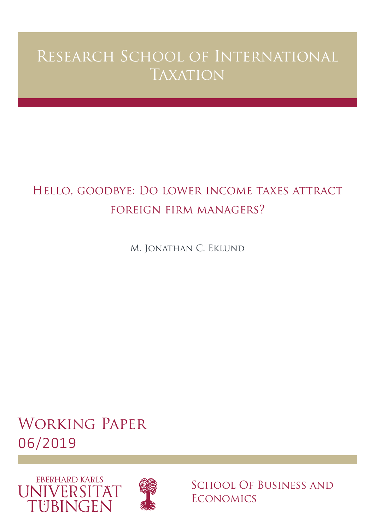# Research School of International **TAXATION**

## Hello, goodbye: Do lower income taxes attract foreign firm managers?

M. Jonathan C. Eklund

# Working Paper 06/2019





School Of Business and **ECONOMICS**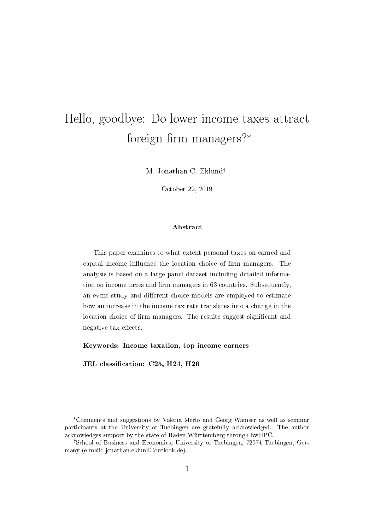## Hello, goodbye: Do lower income taxes attract foreign firm managers? $*$

M. Jonathan C. Eklund

October 22, 2019

#### Abstract

This paper examines to what extent personal taxes on earned and capital income influence the location choice of firm managers. The analysis is based on a large panel dataset including detailed information on income taxes and firm managers in 63 countries. Subsequently, an event study and different choice models are employed to estimate how an increase in the income tax rate translates into a change in the location choice of firm managers. The results suggest significant and negative tax effects.

Keywords: Income taxation, top income earners

JEL classification: C25, H24, H26

<sup>\*</sup>Comments and suggestions by Valeria Merlo and Georg Wamser as well as seminar participants at the University of Tuebingen are gratefully acknowledged. The author acknowledges support by the state of Baden-Württemberg through bwHPC.

<sup>&</sup>lt;sup>†</sup>School of Business and Economics, University of Tuebingen, 72074 Tuebingen, Germany (e-mail: jonathan.eklund@outlook.de).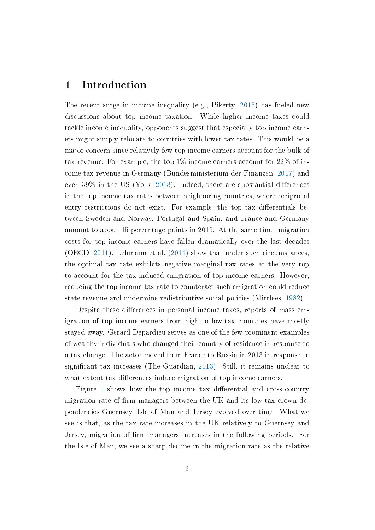## 1 Introduction

The recent surge in income inequality (e.g., Piketty, [2015\)](#page-22-0) has fueled new discussions about top income taxation. While higher income taxes could tackle income inequality, opponents suggest that especially top income earners might simply relocate to countries with lower tax rates. This would be a major concern since relatively few top income earners account for the bulk of tax revenue. For example, the top  $1\%$  income earners account for  $22\%$  of income tax revenue in Germany (Bundesministerium der Finanzen, [2017\)](#page-21-0) and even  $39\%$  in the US (York, [2018\)](#page-22-1). Indeed, there are substantial differences in the top income tax rates between neighboring countries, where reciprocal entry restrictions do not exist. For example, the top tax differentials between Sweden and Norway, Portugal and Spain, and France and Germany amount to about 15 percentage points in 2015. At the same time, migration costs for top income earners have fallen dramatically over the last decades (OECD, [2011\)](#page-22-2). Lehmann et al. [\(2014\)](#page-21-1) show that under such circumstances, the optimal tax rate exhibits negative marginal tax rates at the very top to account for the tax-induced emigration of top income earners. However, reducing the top income tax rate to counteract such emigration could reduce state revenue and undermine redistributive social policies (Mirrlees, [1982\)](#page-22-3).

Despite these differences in personal income taxes, reports of mass emigration of top income earners from high to low-tax countries have mostly stayed away. Gérard Depardieu serves as one of the few prominent examples of wealthy individuals who changed their country of residence in response to a tax change. The actor moved from France to Russia in 2013 in response to significant tax increases (The Guardian, [2013\)](#page-22-4). Still, it remains unclear to what extent tax differences induce migration of top income earners.

Figure [1](#page-32-0) shows how the top income tax differential and cross-country migration rate of firm managers between the UK and its low-tax crown dependencies Guernsey, Isle of Man and Jersey evolved over time. What we see is that, as the tax rate increases in the UK relatively to Guernsey and Jersey, migration of firm managers increases in the following periods. For the Isle of Man, we see a sharp decline in the migration rate as the relative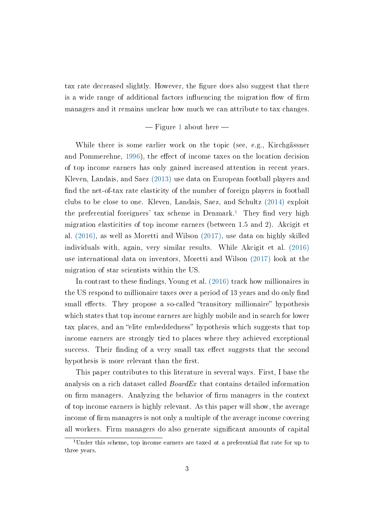tax rate decreased slightly. However, the figure does also suggest that there is a wide range of additional factors influencing the migration flow of firm managers and it remains unclear how much we can attribute to tax changes.

#### $-Figure 1$  $-Figure 1$  about here  $-$

While there is some earlier work on the topic (see, e.g., Kirchgässner and Pommerehne, [1996\)](#page-21-2), the effect of income taxes on the location decision of top income earners has only gained increased attention in recent years. Kleven, Landais, and Saez [\(2013\)](#page-21-3) use data on European football players and find the net-of-tax rate elasticity of the number of foreign players in football clubs to be close to one. Kleven, Landais, Saez, and Schultz [\(2014\)](#page-21-4) exploit the preferential foreigners' tax scheme in Denmark.<sup>[1](#page-3-0)</sup> They find very high migration elasticities of top income earners (between 1.5 and 2). Akcigit et al. [\(2016\),](#page-21-5) as well as Moretti and Wilson [\(2017\),](#page-22-5) use data on highly skilled individuals with, again, very similar results. While Akcigit et al. [\(2016\)](#page-21-5) use international data on inventors, Moretti and Wilson [\(2017\)](#page-22-5) look at the migration of star scientists within the US.

In contrast to these findings, Young et al. [\(2016\)](#page-22-6) track how millionaires in the US respond to millionaire taxes over a period of 13 years and do only find small effects. They propose a so-called "transitory millionaire" hypothesis which states that top income earners are highly mobile and in search for lower tax places, and an "elite embeddedness" hypothesis which suggests that top income earners are strongly tied to places where they achieved exceptional success. Their finding of a very small tax effect suggests that the second hypothesis is more relevant than the first.

This paper contributes to this literature in several ways. First, I base the analysis on a rich dataset called *BoardEx* that contains detailed information on firm managers. Analyzing the behavior of firm managers in the context of top income earners is highly relevant. As this paper will show, the average income of firm managers is not only a multiple of the average income covering all workers. Firm managers do also generate signicant amounts of capital

<span id="page-3-0"></span><sup>&</sup>lt;sup>1</sup>Under this scheme, top income earners are taxed at a preferential flat rate for up to three years.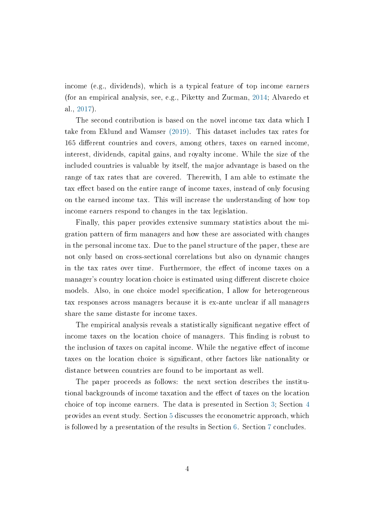income (e.g., dividends), which is a typical feature of top income earners (for an empirical analysis, see, e.g., Piketty and Zucman, [2014;](#page-22-7) Alvaredo et al., [2017\)](#page-21-6).

The second contribution is based on the novel income tax data which I take from Eklund and Wamser [\(2019\).](#page-21-7) This dataset includes tax rates for 165 different countries and covers, among others, taxes on earned income, interest, dividends, capital gains, and royalty income. While the size of the included countries is valuable by itself, the major advantage is based on the range of tax rates that are covered. Therewith, I am able to estimate the tax effect based on the entire range of income taxes, instead of only focusing on the earned income tax. This will increase the understanding of how top income earners respond to changes in the tax legislation.

Finally, this paper provides extensive summary statistics about the migration pattern of firm managers and how these are associated with changes in the personal income tax. Due to the panel structure of the paper, these are not only based on cross-sectional correlations but also on dynamic changes in the tax rates over time. Furthermore, the effect of income taxes on a manager's country location choice is estimated using different discrete choice models. Also, in one choice model specification, I allow for heterogeneous tax responses across managers because it is ex-ante unclear if all managers share the same distaste for income taxes.

The empirical analysis reveals a statistically significant negative effect of income taxes on the location choice of managers. This finding is robust to the inclusion of taxes on capital income. While the negative effect of income taxes on the location choice is signicant, other factors like nationality or distance between countries are found to be important as well.

The paper proceeds as follows: the next section describes the institutional backgrounds of income taxation and the effect of taxes on the location choice of top income earners. The data is presented in Section [3;](#page-8-0) Section [4](#page-14-0) provides an event study. Section [5](#page-15-0) discusses the econometric approach, which is followed by a presentation of the results in Section [6.](#page-16-0) Section [7](#page-19-0) concludes.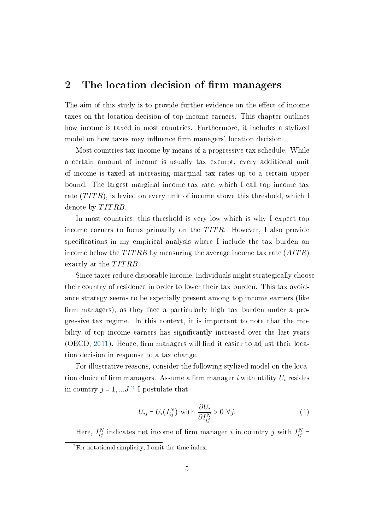### <span id="page-5-2"></span>2 The location decision of firm managers

The aim of this study is to provide further evidence on the effect of income taxes on the location decision of top income earners. This chapter outlines how income is taxed in most countries. Furthermore, it includes a stylized model on how taxes may influence firm managers' location decision.

Most countries tax income by means of a progressive tax schedule. While a certain amount of income is usually tax exempt, every additional unit of income is taxed at increasing marginal tax rates up to a certain upper bound. The largest marginal income tax rate, which I call top income tax rate  $(TITR)$ , is levied on every unit of income above this threshold, which I denote by TITRB.

In most countries, this threshold is very low which is why I expect top income earners to focus primarily on the  $TITR$ . However, I also provide specifications in my empirical analysis where I include the tax burden on income below the  $TITRB$  by measuring the average income tax rate  $(AITR)$ exactly at the TITRB.

Since taxes reduce disposable income, individuals might strategically choose their country of residence in order to lower their tax burden. This tax avoidance strategy seems to be especially present among top income earners (like firm managers), as they face a particularly high tax burden under a progressive tax regime. In this context, it is important to note that the mobility of top income earners has signicantly increased over the last years (OECD, [2011\)](#page-22-2). Hence, firm managers will find it easier to adjust their location decision in response to a tax change.

For illustrative reasons, consider the following stylized model on the location choice of firm managers. Assume a firm manager i with utility  $U_i$  resides in country  $j = 1, \ldots J$ .<sup>[2](#page-5-0)</sup> I postulate that

<span id="page-5-1"></span>
$$
U_{ij} = U_i(I_{ij}^N) \text{ with } \frac{\partial U_i}{\partial I_{ij}^N} > 0 \ \forall j. \tag{1}
$$

Here,  $I_{ij}^N$  indicates net income of firm manager i in country j with  $I_{ij}^N$  =  $2$ For notational simplicity, I omit the time index.

<span id="page-5-0"></span>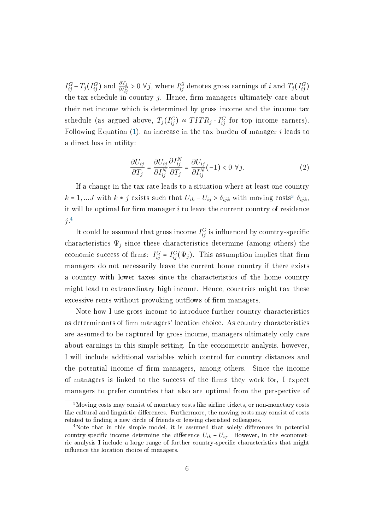$I_{ij}^G - T_j(I_{ij}^G)$  and  $\frac{\partial T_j}{\partial I_{ij}^G} > 0 \ \forall j$ , where  $I_{ij}^G$  denotes gross earnings of i and  $T_j(I_{ij}^G)$ the tax schedule in country  $i$ . Hence, firm managers ultimately care about their net income which is determined by gross income and the income tax schedule (as argued above,  $T_j(I_{ij}^G) \approx TITR_j \cdot I_{ij}^G$  for top income earners). Following Equation  $(1)$ , an increase in the tax burden of manager i leads to a direct loss in utility:

<span id="page-6-2"></span>
$$
\frac{\partial U_{ij}}{\partial T_j} = \frac{\partial U_{ij}}{\partial I_{ij}^N} \frac{\partial I_{ij}^N}{\partial T_j} = \frac{\partial U_{ij}}{\partial I_{ij}^N} (-1) < 0 \ \forall j. \tag{2}
$$

If a change in the tax rate leads to a situation where at least one country  $k = 1, \ldots J$  with  $k \neq j$  exists such that  $U_{ik} - U_{ij} > \delta_{ijk}$  with moving costs<sup>[3](#page-6-0)</sup>  $\delta_{ijk}$ , it will be optimal for firm manager  $i$  to leave the current country of residence  $j^{.4}$  $j^{.4}$  $j^{.4}$ 

It could be assumed that gross income  $I_{ij}^G$  is influenced by country-specific characteristics  $\Psi_j$  since these characteristics determine (among others) the economic success of firms:  $I_{ij}^G = I_{ij}^G(\Psi_j)$ . This assumption implies that firm managers do not necessarily leave the current home country if there exists a country with lower taxes since the characteristics of the home country might lead to extraordinary high income. Hence, countries might tax these excessive rents without provoking outflows of firm managers.

Note how I use gross income to introduce further country characteristics as determinants of firm managers' location choice. As country characteristics are assumed to be captured by gross income, managers ultimately only care about earnings in this simple setting. In the econometric analysis, however, I will include additional variables which control for country distances and the potential income of firm managers, among others. Since the income of managers is linked to the success of the firms they work for, I expect managers to prefer countries that also are optimal from the perspective of

<span id="page-6-0"></span><sup>3</sup>Moving costs may consist of monetary costs like airline tickets, or non-monetary costs like cultural and linguistic differences. Furthermore, the moving costs may consist of costs related to finding a new circle of friends or leaving cherished colleagues.

<span id="page-6-1"></span><sup>&</sup>lt;sup>4</sup>Note that in this simple model, it is assumed that solely differences in potential country-specific income determine the difference  $U_{ik} - U_{ij}$ . However, in the econometric analysis I include a large range of further country-specific characteristics that might influence the location choice of managers.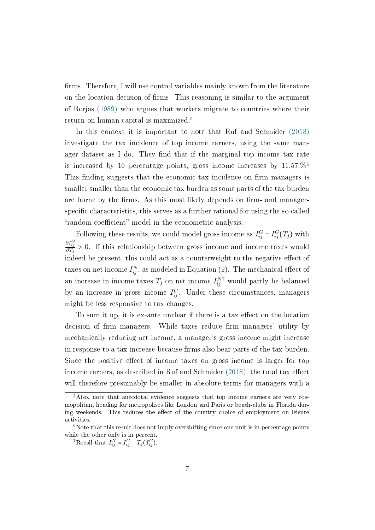firms. Therefore, I will use control variables mainly known from the literature on the location decision of firms. This reasoning is similar to the argument of Borjas [\(1989\)](#page-21-8) who argues that workers migrate to countries where their return on human capital is maximized.[5](#page-7-0)

In this context it is important to note that Ruf and Schmider [\(2018\)](#page-22-8) investigate the tax incidence of top income earners, using the same manager dataset as I do. They find that if the marginal top income tax rate is increased by 10 percentage points, gross income increases by  $11.57\%$ <sup>[6](#page-7-1)</sup> This finding suggests that the economic tax incidence on firm managers is smaller smaller than the economic tax burden as some parts of the tax burden are borne by the firms. As this most likely depends on firm- and managerspecific characteristics, this serves as a further rational for using the so-called "random-coefficient" model in the econometric analysis.

Following these results, we could model gross income as  $I_{ij}^G = I_{ij}^G(T_j)$  with  $\frac{\partial I_{ij}^G}{\partial T_j} > 0$ . If this relationship between gross income and income taxes would indeed be present, this could act as a counterweight to the negative effect of taxes on net income  $I_{ij}^N$ , as modeled in Equation [\(2\)](#page-6-2). The mechanical effect of an increase in income taxes  $T_j$  on net income  $I_{ij}^{N7}$  $I_{ij}^{N7}$  $I_{ij}^{N7}$  would partly be balanced by an increase in gross income  $I_{ij}^G$ . Under these circumstances, managers might be less responsive to tax changes.

To sum it up, it is ex-ante unclear if there is a tax effect on the location decision of firm managers. While taxes reduce firm managers' utility by mechanically reducing net income, a manager's gross income might increase in response to a tax increase because firms also bear parts of the tax burden. Since the positive effect of income taxes on gross income is larger for top income earners, as described in Ruf and Schmider  $(2018)$ , the total tax effect will therefore presumably be smaller in absolute terms for managers with a

<span id="page-7-0"></span> $5$ Also, note that anecdotal evidence suggests that top income earners are very cosmopolitan, heading for metropolises like London and Paris or beach-clubs in Florida during weekends. This reduces the effect of the country choice of employment on leisure activities.

<span id="page-7-1"></span> $6$ Note that this result does not imply overshifting since one unit is in percentage points while the other only is in percent.

<span id="page-7-2"></span><sup>&</sup>lt;sup>7</sup>Recall that  $I_{ij}^N = I_{ij}^G - T_j(I_{ij}^G)$ .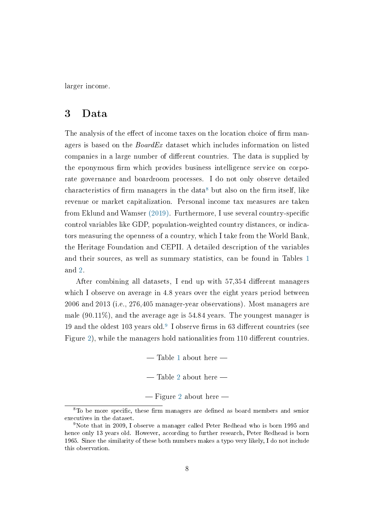larger income.

### <span id="page-8-0"></span>3 Data

The analysis of the effect of income taxes on the location choice of firm managers is based on the *BoardEx* dataset which includes information on listed companies in a large number of different countries. The data is supplied by the eponymous firm which provides business intelligence service on corporate governance and boardroom processes. I do not only observe detailed characteristics of firm managers in the data<sup>[8](#page-8-1)</sup> but also on the firm itself, like revenue or market capitalization. Personal income tax measures are taken from Eklund and Wamser  $(2019)$ . Furthermore, I use several country-specific control variables like GDP, population-weighted country distances, or indicators measuring the openness of a country, which I take from the World Bank, the Heritage Foundation and CEPII. A detailed description of the variables and their sources, as well as summary statistics, can be found in Tables [1](#page-23-0) and [2.](#page-25-0)

After combining all datasets, I end up with  $57,354$  different managers which I observe on average in 4.8 years over the eight years period between 2006 and 2013 (i.e., 276,405 manager-year observations). Most managers are male (90.11%), and the average age is 54.84 years. The youngest manager is 1[9](#page-8-2) and the oldest 103 years old.<sup>9</sup> I observe firms in 63 different countries (see Figure [2\)](#page-33-0), while the managers hold nationalities from 110 different countries.

> $-$  Table [1](#page-23-0) about here  $-$  Table [2](#page-25-0) about here  $-$

 $-$  Figure [2](#page-33-0) about here  $-$ 

<span id="page-8-1"></span> $8$ To be more specific, these firm managers are defined as board members and senior executives in the dataset.

<span id="page-8-2"></span><sup>9</sup>Note that in 2009, I observe a manager called Peter Redhead who is born 1995 and hence only 13 years old. However, according to further research, Peter Redhead is born 1965. Since the similarity of these both numbers makes a typo very likely, I do not include this observation.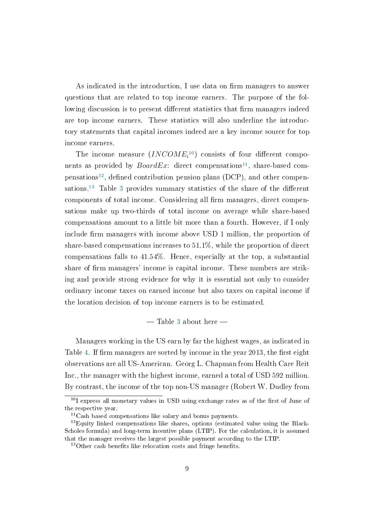As indicated in the introduction, I use data on firm managers to answer questions that are related to top income earners. The purpose of the following discussion is to present different statistics that firm managers indeed are top income earners. These statistics will also underline the introductory statements that capital incomes indeed are a key income source for top income earners.

The income measure  $(INCOME<sub>i</sub><sup>10</sup>)$  $(INCOME<sub>i</sub><sup>10</sup>)$  $(INCOME<sub>i</sub><sup>10</sup>)$  consists of four different components as provided by  $BoardEx$ : direct compensations<sup>[11](#page-9-1)</sup>, share-based com-pensations<sup>[12](#page-9-2)</sup>, defined contribution pension plans (DCP), and other compen-sations.<sup>[13](#page-9-3)</sup> Table [3](#page-26-0) provides summary statistics of the share of the different components of total income. Considering all firm managers, direct compensations make up two-thirds of total income on average while share-based compensations amount to a little bit more than a fourth. However, if I only include firm managers with income above USD 1 million, the proportion of share-based compensations increases to 51.1%, while the proportion of direct compensations falls to 41.54%. Hence, especially at the top, a substantial share of firm managers' income is capital income. These numbers are striking and provide strong evidence for why it is essential not only to consider ordinary income taxes on earned income but also taxes on capital income if the location decision of top income earners is to be estimated.

#### $-$  Table [3](#page-26-0) about here  $-$

Managers working in the US earn by far the highest wages, as indicated in Table [4.](#page-27-0) If firm managers are sorted by income in the year 2013, the first eight observations are all US-American. Georg L. Chapman from Health Care Reit Inc., the manager with the highest income, earned a total of USD 592 million. By contrast, the income of the top non-US manager (Robert W. Dudley from

<span id="page-9-0"></span> $10I$  express all monetary values in USD using exchange rates as of the first of June of the respective year.

<span id="page-9-2"></span><span id="page-9-1"></span> $11$ Cash based compensations like salary and bonus payments.

 $12$ Equity linked compensations like shares, options (estimated value using the Black-Scholes formula) and long-term incentive plans (LTIP). For the calculation, it is assumed that the manager receives the largest possible payment according to the LTIP.

<span id="page-9-3"></span> $13$ Other cash benefits like relocation costs and fringe benefits.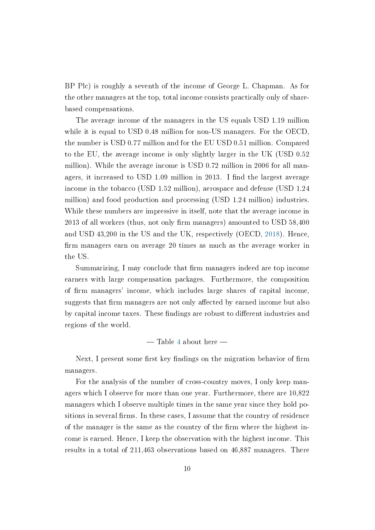BP Plc) is roughly a seventh of the income of George L. Chapman. As for the other managers at the top, total income consists practically only of sharebased compensations.

The average income of the managers in the US equals USD 1.19 million while it is equal to USD 0.48 million for non-US managers. For the OECD, the number is USD 0.77 million and for the EU USD 0.51 million. Compared to the EU, the average income is only slightly larger in the UK (USD 0.52 million). While the average income is USD 0.72 million in 2006 for all managers, it increased to USD 1.09 million in 2013. I find the largest average income in the tobacco (USD 1.52 million), aerospace and defense (USD 1.24 million) and food production and processing (USD 1.24 million) industries. While these numbers are impressive in itself, note that the average income in 2013 of all workers (thus, not only firm managers) amounted to USD 58,400 and USD 43,200 in the US and the UK, respectively (OECD, [2018\)](#page-22-9). Hence, firm managers earn on average 20 times as much as the average worker in the US.

Summarizing, I may conclude that firm managers indeed are top income earners with large compensation packages. Furthermore, the composition of firm managers' income, which includes large shares of capital income. suggests that firm managers are not only affected by earned income but also by capital income taxes. These findings are robust to different industries and regions of the world.

 $-$  Table [4](#page-27-0) about here  $-$ 

Next, I present some first key findings on the migration behavior of firm managers.

For the analysis of the number of cross-country moves, I only keep managers which I observe for more than one year. Furthermore, there are 10,822 managers which I observe multiple times in the same year since they hold positions in several firms. In these cases, I assume that the country of residence of the manager is the same as the country of the firm where the highest income is earned. Hence, I keep the observation with the highest income. This results in a total of 211,463 observations based on 46,887 managers. There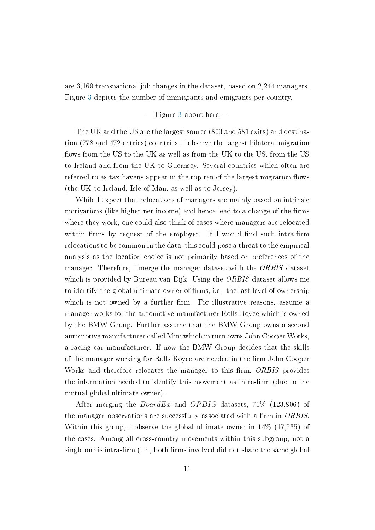are 3,169 transnational job changes in the dataset, based on 2,244 managers. Figure [3](#page-34-0) depicts the number of immigrants and emigrants per country.

#### $-$  Figure [3](#page-34-0) about here  $-$

The UK and the US are the largest source (803 and 581 exits) and destination (778 and 472 entries) countries. I observe the largest bilateral migration flows from the US to the UK as well as from the UK to the US, from the US to Ireland and from the UK to Guernsey. Several countries which often are referred to as tax havens appear in the top ten of the largest migration flows (the UK to Ireland, Isle of Man, as well as to Jersey).

While I expect that relocations of managers are mainly based on intrinsic motivations (like higher net income) and hence lead to a change of the firms where they work, one could also think of cases where managers are relocated within firms by request of the employer. If I would find such intra-firm relocations to be common in the data, this could pose a threat to the empirical analysis as the location choice is not primarily based on preferences of the manager. Therefore, I merge the manager dataset with the ORBIS dataset which is provided by Bureau van Dijk. Using the ORBIS dataset allows me to identify the global ultimate owner of firms, i.e., the last level of ownership which is not owned by a further firm. For illustrative reasons, assume a manager works for the automotive manufacturer Rolls Royce which is owned by the BMW Group. Further assume that the BMW Group owns a second automotive manufacturer called Mini which in turn owns John Cooper Works, a racing car manufacturer. If now the BMW Group decides that the skills of the manager working for Rolls Royce are needed in the firm John Cooper Works and therefore relocates the manager to this firm, ORBIS provides the information needed to identify this movement as intra-firm (due to the mutual global ultimate owner).

After merging the  $BoardEx$  and  $ORBIS$  datasets, 75\% (123,806) of the manager observations are successfully associated with a firm in  $ORBIS$ . Within this group, I observe the global ultimate owner in 14% (17,535) of the cases. Among all cross-country movements within this subgroup, not a single one is intra-firm (i.e., both firms involved did not share the same global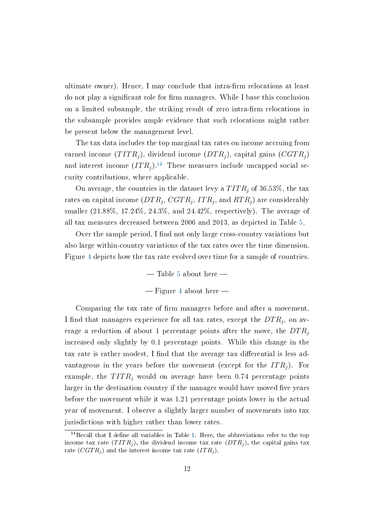ultimate owner). Hence, I may conclude that intra-firm relocations at least do not play a signicant role for rm managers. While I base this conclusion on a limited subsample, the striking result of zero intra-firm relocations in the subsample provides ample evidence that such relocations might rather be present below the management level.

The tax data includes the top marginal tax rates on income accruing from earned income  $(TITR<sub>i</sub>)$ , dividend income  $(DTR<sub>i</sub>)$ , capital gains  $(CGTR<sub>i</sub>)$ and interest income  $(ITR<sub>i</sub>)$ .<sup>[14](#page-12-0)</sup> These measures include uncapped social security contributions, where applicable.

On average, the countries in the dataset levy a  $TITR_i$  of 36.53%, the tax rates on capital income  $(DTR_j,\, CSTR_j,\, ITR_j,\, {\rm and}\, \, RTR_j)$  are considerably smaller (21.88%, 17.24%, 24.3%, and 24.42%, respectively). The average of all tax measures decreased between 2006 and 2013, as depicted in Table [5.](#page-28-0)

Over the sample period, I find not only large cross-country variations but also large within-country variations of the tax rates over the time dimension. Figure [4](#page-35-0) depicts how the tax rate evolved over time for a sample of countries.

> $-$  Table [5](#page-28-0) about here  $-$  Figure [4](#page-35-0) about here  $-$

Comparing the tax rate of firm managers before and after a movement. I find that managers experience for all tax rates, except the  $DTR_j,$  on average a reduction of about 1 percentage points after the move, the  $DTR_i$ increased only slightly by 0.1 percentage points. While this change in the tax rate is rather modest, I find that the average tax differential is less advantageous in the years before the movement (except for the  $ITR<sub>i</sub>$ ). For example, the  $TITR<sub>j</sub>$  would on average have been 0.74 percentage points larger in the destination country if the manager would have moved five years before the movement while it was 1.21 percentage points lower in the actual year of movement. I observe a slightly larger number of movements into tax jurisdictions with higher rather than lower rates.

<span id="page-12-0"></span><sup>&</sup>lt;sup>14</sup>Recall that I define all variables in Table [1.](#page-23-0) Here, the abbreviations refer to the top income tax rate  $(TITR<sub>j</sub>)$ , the dividend income tax rate  $(DTR<sub>j</sub>)$ , the capital gains tax rate  $(CGTR<sub>j</sub>)$  and the interest income tax rate  $(TTR<sub>j</sub>)$ .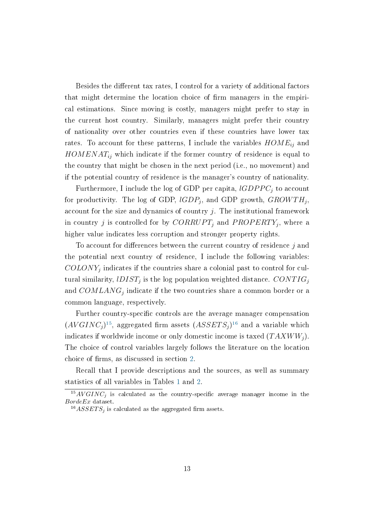Besides the different tax rates, I control for a variety of additional factors that might determine the location choice of firm managers in the empirical estimations. Since moving is costly, managers might prefer to stay in the current host country. Similarly, managers might prefer their country of nationality over other countries even if these countries have lower tax rates. To account for these patterns, I include the variables  $HOME_{ij}$  and  $HOMENAT_{ij}$  which indicate if the former country of residence is equal to the country that might be chosen in the next period (i.e., no movement) and if the potential country of residence is the manager's country of nationality.

Furthermore, I include the log of GDP per capita,  $lGDPPC_j$  to account for productivity. The log of GDP,  $lGDP_j$ , and GDP growth,  ${\it{GROWTH}_j},$ account for the size and dynamics of country  $j$ . The institutional framework in country  $j$  is controlled for by  $CORRUPT_j$  and  $PROPERTY_j$ , where a higher value indicates less corruption and stronger property rights.

To account for differences between the current country of residence  $j$  and the potential next country of residence, I include the following variables:  $\mathit{COLONY}_j$  indicates if the countries share a colonial past to control for cultural similarity,  $lDIST_j$  is the log population weighted distance.  $CONTIG_j$ and  $\mathit{COMLANG}_j$  indicate if the two countries share a common border or a common language, respectively.

Further country-specific controls are the average manager compensation  $(AVGINC_j)^{15}$  $(AVGINC_j)^{15}$  $(AVGINC_j)^{15}$ , aggregated firm assets  $(ASSETS_j)^{16}$  $(ASSETS_j)^{16}$  $(ASSETS_j)^{16}$  and a variable which indicates if worldwide income or only domestic income is taxed  $(TAXWW_i)$ . The choice of control variables largely follows the literature on the location choice of firms, as discussed in section [2.](#page-5-2)

Recall that I provide descriptions and the sources, as well as summary statistics of all variables in Tables [1](#page-23-0) and [2.](#page-25-0)

<span id="page-13-0"></span> $15AVGINC<sub>j</sub>$  is calculated as the country-specific average manager income in the BordeEx dataset.

<span id="page-13-1"></span> $^{16}ASSETS_i$  is calculated as the aggregated firm assets.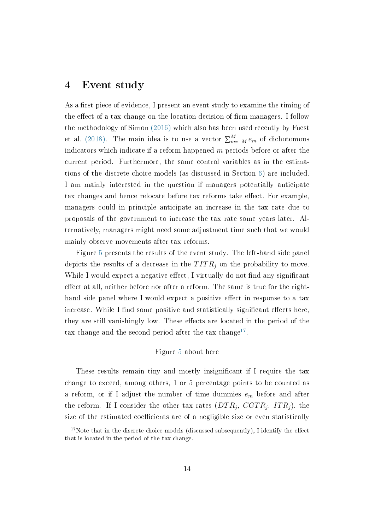### <span id="page-14-0"></span>4 Event study

As a first piece of evidence, I present an event study to examine the timing of the effect of a tax change on the location decision of firm managers. I follow the methodology of Simon [\(2016\)](#page-22-10) which also has been used recently by Fuest et al. [\(2018\).](#page-21-9) The main idea is to use a vector  $\sum_{m=-M}^{M} e_m$  of dichotomous indicators which indicate if a reform happened  $m$  periods before or after the current period. Furthermore, the same control variables as in the estimations of the discrete choice models (as discussed in Section [6\)](#page-16-0) are included. I am mainly interested in the question if managers potentially anticipate tax changes and hence relocate before tax reforms take effect. For example, managers could in principle anticipate an increase in the tax rate due to proposals of the government to increase the tax rate some years later. Alternatively, managers might need some adjustment time such that we would mainly observe movements after tax reforms.

Figure [5](#page-36-0) presents the results of the event study. The left-hand side panel depicts the results of a decrease in the  $TITR<sub>j</sub>$  on the probability to move. While I would expect a negative effect, I virtually do not find any significant effect at all, neither before nor after a reform. The same is true for the righthand side panel where I would expect a positive effect in response to a tax increase. While I find some positive and statistically significant effects here. they are still vanishingly low. These effects are located in the period of the tax change and the second period after the tax change<sup>[17](#page-14-1)</sup>.

#### $-Figure 5 about here -Figure 5 about here -Figure 5 about here -$

These results remain tiny and mostly insignificant if I require the tax change to exceed, among others, 1 or 5 percentage points to be counted as a reform, or if I adjust the number of time dummies  $e_m$  before and after the reform. If I consider the other tax rates  $(DTR_j, \; CSTR_j, \; ITR_j),$  the size of the estimated coefficients are of a negligible size or even statistically

<span id="page-14-1"></span> $17$ Note that in the discrete choice models (discussed subsequently), I identify the effect that is located in the period of the tax change.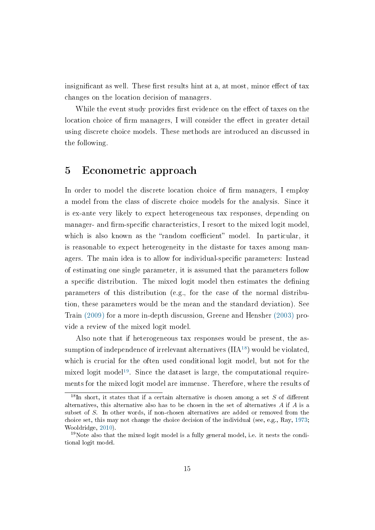insignificant as well. These first results hint at a, at most, minor effect of tax changes on the location decision of managers.

While the event study provides first evidence on the effect of taxes on the location choice of firm managers, I will consider the effect in greater detail using discrete choice models. These methods are introduced an discussed in the following.

### <span id="page-15-0"></span>5 Econometric approach

In order to model the discrete location choice of firm managers, I employ a model from the class of discrete choice models for the analysis. Since it is ex-ante very likely to expect heterogeneous tax responses, depending on manager- and firm-specific characteristics, I resort to the mixed logit model. which is also known as the "random coefficient" model. In particular, it is reasonable to expect heterogeneity in the distaste for taxes among managers. The main idea is to allow for individual-specific parameters: Instead of estimating one single parameter, it is assumed that the parameters follow a specific distribution. The mixed logit model then estimates the defining parameters of this distribution (e.g., for the case of the normal distribution, these parameters would be the mean and the standard deviation). See Train [\(2009\)](#page-22-11) for a more in-depth discussion, Greene and Hensher [\(2003\)](#page-21-10) provide a review of the mixed logit model.

Also note that if heterogeneous tax responses would be present, the assumption of independence of irrelevant alternatives  $(IIA<sup>18</sup>)$  $(IIA<sup>18</sup>)$  $(IIA<sup>18</sup>)$  would be violated. which is crucial for the often used conditional logit model, but not for the mixed logit model<sup>[19](#page-15-2)</sup>. Since the dataset is large, the computational requirements for the mixed logit model are immense. Therefore, where the results of

<span id="page-15-1"></span><sup>&</sup>lt;sup>18</sup>In short, it states that if a certain alternative is chosen among a set S of different alternatives, this alternative also has to be chosen in the set of alternatives A if A is a subset of S. In other words, if non-chosen alternatives are added or removed from the choice set, this may not change the choice decision of the individual (see, e.g., Ray, [1973;](#page-22-12) Wooldridge, [2010\)](#page-22-13).

<span id="page-15-2"></span><sup>&</sup>lt;sup>19</sup>Note also that the mixed logit model is a fully general model, i.e. it nests the conditional logit model.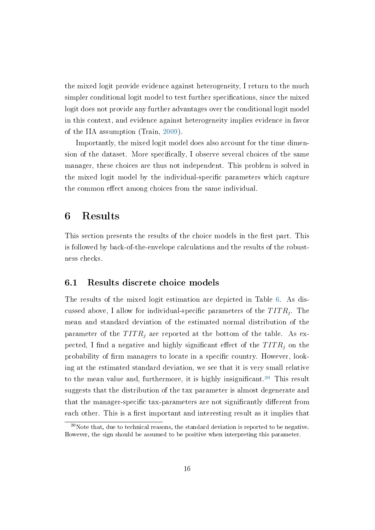the mixed logit provide evidence against heterogeneity, I return to the much simpler conditional logit model to test further specifications, since the mixed logit does not provide any further advantages over the conditional logit model in this context, and evidence against heterogeneity implies evidence in favor of the IIA assumption (Train, [2009\)](#page-22-11).

Importantly, the mixed logit model does also account for the time dimension of the dataset. More specifically, I observe several choices of the same manager, these choices are thus not independent. This problem is solved in the mixed logit model by the individual-specific parameters which capture the common effect among choices from the same individual.

### <span id="page-16-0"></span>6 Results

This section presents the results of the choice models in the first part. This is followed by back-of-the-envelope calculations and the results of the robustness checks.

#### 6.1 Results discrete choice models

The results of the mixed logit estimation are depicted in Table [6.](#page-29-0) As discussed above, I allow for individual-specific parameters of the  $TITR_{j}.$  The mean and standard deviation of the estimated normal distribution of the parameter of the  $TITR<sub>i</sub>$  are reported at the bottom of the table. As expected, I find a negative and highly significant effect of the  $TITR<sub>i</sub>$  on the probability of firm managers to locate in a specific country. However, looking at the estimated standard deviation, we see that it is very small relative to the mean value and, furthermore, it is highly insignificant.<sup>[20](#page-16-1)</sup> This result suggests that the distribution of the tax parameter is almost degenerate and that the manager-specific tax-parameters are not significantly different from each other. This is a first important and interesting result as it implies that

<span id="page-16-1"></span> $20$ Note that, due to technical reasons, the standard deviation is reported to be negative. However, the sign should be assumed to be positive when interpreting this parameter.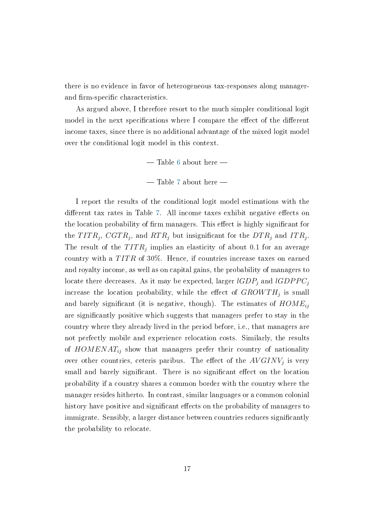there is no evidence in favor of heterogeneous tax-responses along managerand firm-specific characteristics.

As argued above, I therefore resort to the much simpler conditional logit model in the next specifications where I compare the effect of the different income taxes, since there is no additional advantage of the mixed logit model over the conditional logit model in this context.

 $-$  Table [6](#page-29-0) about here  $-$ 

 $-$  Table [7](#page-30-0) about here  $-$ 

I report the results of the conditional logit model estimations with the different tax rates in Table [7.](#page-30-0) All income taxes exhibit negative effects on the location probability of firm managers. This effect is highly significant for the  $TITR_j$ ,  $CGTR_j$ , and  $RTR_j$  but insignificant for the  $DTR_j$  and  $ITR_j$ . The result of the  $TITR_j$  implies an elasticity of about 0.1 for an average country with a  $TITR$  of 30%. Hence, if countries increase taxes on earned and royalty income, as well as on capital gains, the probability of managers to locate there decreases. As it may be expected, larger  $lGDP_j$  and  $lGDPPC_j$ increase the location probability, while the effect of  ${GROWTH_j}$  is small and barely significant (it is negative, though). The estimates of  $HOME_{ij}$ are signicantly positive which suggests that managers prefer to stay in the country where they already lived in the period before, i.e., that managers are not perfectly mobile and experience relocation costs. Similarly, the results of  $HOMENAT_{ij}$  show that managers prefer their country of nationality over other countries, ceteris paribus. The effect of the  $AVGINV_{j}$  is very small and barely significant. There is no significant effect on the location probability if a country shares a common border with the country where the manager resides hitherto. In contrast, similar languages or a common colonial history have positive and significant effects on the probability of managers to immigrate. Sensibly, a larger distance between countries reduces signicantly the probability to relocate.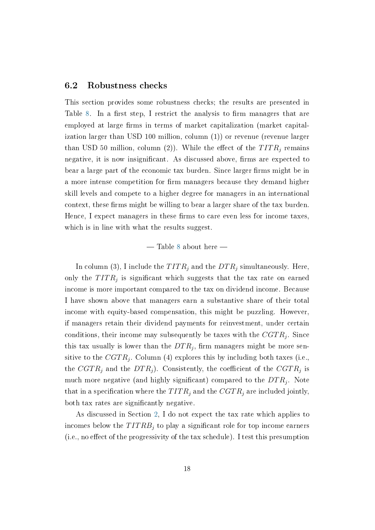#### 6.2 Robustness checks

This section provides some robustness checks; the results are presented in Table [8.](#page-31-0) In a first step, I restrict the analysis to firm managers that are employed at large firms in terms of market capitalization (market capitalization larger than USD 100 million, column (1)) or revenue (revenue larger than USD 50 million, column (2)). While the effect of the  $TITR_i$  remains negative, it is now insignificant. As discussed above, firms are expected to bear a large part of the economic tax burden. Since larger firms might be in a more intense competition for firm managers because they demand higher skill levels and compete to a higher degree for managers in an international context, these firms might be willing to bear a larger share of the tax burden. Hence, I expect managers in these firms to care even less for income taxes, which is in line with what the results suggest.

#### $-$  Table [8](#page-31-0) about here  $-$

In column (3), I include the  $TITR_j$  and the  $DTR_j$  simultaneously. Here, only the  $TITR<sub>j</sub>$  is significant which suggests that the tax rate on earned income is more important compared to the tax on dividend income. Because I have shown above that managers earn a substantive share of their total income with equity-based compensation, this might be puzzling. However, if managers retain their dividend payments for reinvestment, under certain conditions, their income may subsequently be taxes with the  $CGTR_j$ . Since this tax usually is lower than the  $DTR_j$ , firm managers might be more sensitive to the  $CGTR_j$ . Column (4) explores this by including both taxes (i.e., the  $CGTR_j$  and the  $DTR_j$ ). Consistently, the coefficient of the  $CGTR_j$  is much more negative (and highly significant) compared to the  $DTR_j$ . Note that in a specification where the  $TITR_j$  and the  $CGTR_j$  are included jointly, both tax rates are significantly negative.

As discussed in Section [2,](#page-5-2) I do not expect the tax rate which applies to incomes below the  $TITRB<sub>i</sub>$  to play a significant role for top income earners  $(i.e., no effect of the progressively of the tax schedule).$  I test this presumption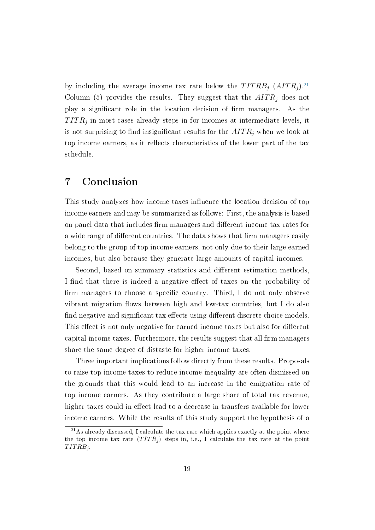by including the average income tax rate below the  $TITRB<sub>j</sub> (AITR<sub>j</sub>)<sup>21</sup>$  $TITRB<sub>j</sub> (AITR<sub>j</sub>)<sup>21</sup>$  $TITRB<sub>j</sub> (AITR<sub>j</sub>)<sup>21</sup>$ Column (5) provides the results. They suggest that the  $AITR<sub>j</sub>$  does not play a significant role in the location decision of firm managers. As the  $TITR_{j}$  in most cases already steps in for incomes at intermediate levels, it is not surprising to find insignificant results for the  $AITR<sub>j</sub>$  when we look at top income earners, as it reflects characteristics of the lower part of the tax schedule.

## <span id="page-19-0"></span>7 Conclusion

This study analyzes how income taxes influence the location decision of top income earners and may be summarized as follows: First, the analysis is based on panel data that includes firm managers and different income tax rates for a wide range of different countries. The data shows that firm managers easily belong to the group of top income earners, not only due to their large earned incomes, but also because they generate large amounts of capital incomes.

Second, based on summary statistics and different estimation methods. I find that there is indeed a negative effect of taxes on the probability of firm managers to choose a specific country. Third, I do not only observe vibrant migration flows between high and low-tax countries, but I do also find negative and significant tax effects using different discrete choice models. This effect is not only negative for earned income taxes but also for different capital income taxes. Furthermore, the results suggest that all firm managers share the same degree of distaste for higher income taxes.

Three important implications follow directly from these results. Proposals to raise top income taxes to reduce income inequality are often dismissed on the grounds that this would lead to an increase in the emigration rate of top income earners. As they contribute a large share of total tax revenue, higher taxes could in effect lead to a decrease in transfers available for lower income earners. While the results of this study support the hypothesis of a

<span id="page-19-1"></span><sup>21</sup>As already discussed, I calculate the tax rate which applies exactly at the point where the top income tax rate  $(TITR<sub>i</sub>)$  steps in, i.e., I calculate the tax rate at the point  $TITRB<sub>j</sub>$ .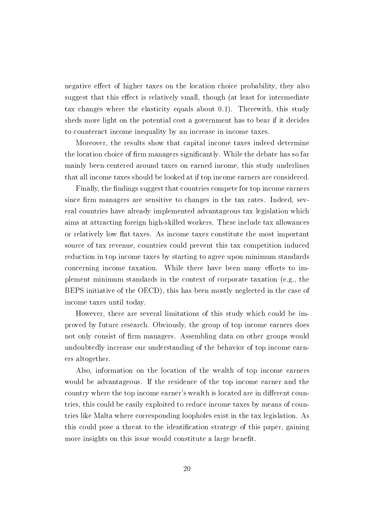negative effect of higher taxes on the location choice probability, they also suggest that this effect is relatively small, though (at least for intermediate tax changes where the elasticity equals about 0.1). Therewith, this study sheds more light on the potential cost a government has to bear if it decides to counteract income inequality by an increase in income taxes.

Moreover, the results show that capital income taxes indeed determine the location choice of firm managers significantly. While the debate has so far mainly been centered around taxes on earned income, this study underlines that all income taxes should be looked at if top income earners are considered.

Finally, the findings suggest that countries compete for top income earners since firm managers are sensitive to changes in the tax rates. Indeed, several countries have already implemented advantageous tax legislation which aims at attracting foreign high-skilled workers. These include tax allowances or relatively low at taxes. As income taxes constitute the most important source of tax revenue, countries could prevent this tax competition induced reduction in top income taxes by starting to agree upon minimum standards concerning income taxation. While there have been many efforts to implement minimum standards in the context of corporate taxation (e.g., the BEPS initiative of the OECD), this has been mostly neglected in the case of income taxes until today.

However, there are several limitations of this study which could be improved by future research. Obviously, the group of top income earners does not only consist of firm managers. Assembling data on other groups would undoubtedly increase our understanding of the behavior of top income earners altogether.

Also, information on the location of the wealth of top income earners would be advantageous. If the residence of the top income earner and the country where the top income earner's wealth is located are in different countries, this could be easily exploited to reduce income taxes by means of countries like Malta where corresponding loopholes exist in the tax legislation. As this could pose a threat to the identification strategy of this paper, gaining more insights on this issue would constitute a large benefit.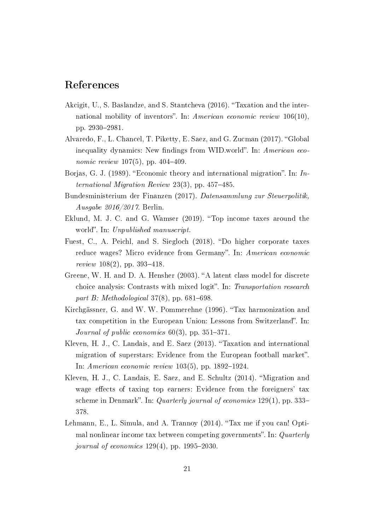## References

- <span id="page-21-5"></span>Akcigit, U., S. Baslandze, and S. Stantcheva (2016). Taxation and the international mobility of inventors". In: American economic review  $106(10)$ , pp. 2930-2981.
- <span id="page-21-6"></span>Alvaredo, F., L. Chancel, T. Piketty, E. Saez, and G. Zucman (2017). "Global inequality dynamics: New findings from WID.world". In: American eco*nomic review* 107(5), pp. 404-409.
- <span id="page-21-8"></span>Borjas, G. J. (1989). "Economic theory and international migration". In: International Migration Review 23(3), pp. 457-485.
- <span id="page-21-0"></span>Bundesministerium der Finanzen (2017). Datensammlung zur Steuerpolitik, Ausgabe 2016/2017. Berlin.
- <span id="page-21-7"></span>Eklund, M. J. C. and G. Wamser (2019). "Top income taxes around the world". In: Unpublished manuscript.
- <span id="page-21-9"></span>Fuest, C., A. Peichl, and S. Siegloch (2018). "Do higher corporate taxes reduce wages? Micro evidence from Germany". In: American economic review  $108(2)$ , pp. 393-418.
- <span id="page-21-10"></span>Greene, W. H. and D. A. Hensher (2003). "A latent class model for discrete choice analysis: Contrasts with mixed logit". In: Transportation research part B: Methodological  $37(8)$ , pp. 681–698.
- <span id="page-21-2"></span>Kirchgässner, G. and W. W. Pommerehne (1996). Tax harmonization and tax competition in the European Union: Lessons from Switzerland". In: Journal of public economics  $60(3)$ , pp. 351-371.
- <span id="page-21-3"></span>Kleven, H. J., C. Landais, and E. Saez (2013). Taxation and international migration of superstars: Evidence from the European football market". In: American economic review  $103(5)$ , pp. 1892-1924.
- <span id="page-21-4"></span>Kleven, H. J., C. Landais, E. Saez, and E. Schultz (2014). "Migration and wage effects of taxing top earners: Evidence from the foreigners' tax scheme in Denmark". In: Quarterly journal of economics  $129(1)$ , pp. 333– 378.
- <span id="page-21-1"></span>Lehmann, E., L. Simula, and A. Trannoy (2014). "Tax me if you can! Optimal nonlinear income tax between competing governments". In:  $Quarterly$ journal of economics  $129(4)$ , pp. 1995–2030.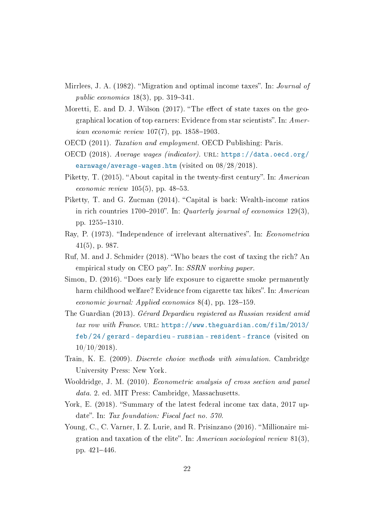- <span id="page-22-3"></span>Mirrlees, J. A. (1982). "Migration and optimal income taxes". In: *Journal of* public economics  $18(3)$ , pp. 319-341.
- <span id="page-22-5"></span>Moretti, E. and D. J. Wilson  $(2017)$ . "The effect of state taxes on the geographical location of top earners: Evidence from star scientists". In:  $A$ mer*ican economic review*  $107(7)$ , pp. 1858-1903.
- <span id="page-22-2"></span>OECD (2011). Taxation and employment. OECD Publishing: Paris.
- <span id="page-22-9"></span>OECD (2018). Average wages (indicator). URL: [https://data.oecd.org/](https://data.oecd.org/earnwage/average-wages.htm) [earnwage/average-wages.htm](https://data.oecd.org/earnwage/average-wages.htm) (visited on 08/28/2018).
- <span id="page-22-0"></span>Piketty, T.  $(2015)$ . "About capital in the twenty-first century". In: American *economic review*  $105(5)$ , pp. 48-53.
- <span id="page-22-7"></span>Piketty, T. and G. Zucman (2014). "Capital is back: Wealth-income ratios in rich countries 1700–2010". In: Quarterly journal of economics 129(3), pp. 1255–1310.
- <span id="page-22-12"></span>Ray, P. (1973). "Independence of irrelevant alternatives". In: *Econometrica* 41(5), p. 987.
- <span id="page-22-8"></span>Ruf, M. and J. Schmider (2018). Who bears the cost of taxing the rich? An empirical study on CEO pay". In: SSRN working paper.
- <span id="page-22-10"></span>Simon, D. (2016). "Does early life exposure to cigarette smoke permanently harm childhood welfare? Evidence from cigarette tax hikes". In: American economic journal: Applied economics  $8(4)$ , pp. 128-159.
- <span id="page-22-4"></span>The Guardian (2013). Gérard Depardieu registered as Russian resident amid tax row with France. URL: [https://www.theguardian.com/film/2013/](https://www.theguardian.com/film/2013/feb/24/gerard-depardieu-russian-resident-france) [feb / 24 / gerard - depardieu - russian - resident - france](https://www.theguardian.com/film/2013/feb/24/gerard-depardieu-russian-resident-france) (visited on  $10/10/2018$ ).
- <span id="page-22-11"></span>Train, K. E. (2009). Discrete choice methods with simulation. Cambridge University Press: New York.
- <span id="page-22-13"></span>Wooldridge, J. M. (2010). Econometric analysis of cross section and panel data. 2. ed. MIT Press: Cambridge, Massachusetts.
- <span id="page-22-1"></span>York, E. (2018). "Summary of the latest federal income tax data, 2017 update". In: Tax foundation: Fiscal fact no. 570.
- <span id="page-22-6"></span>Young, C., C. Varner, I. Z. Lurie, and R. Prisinzano (2016). "Millionaire migration and taxation of the elite". In: American sociological review  $81(3)$ , pp. 421–446.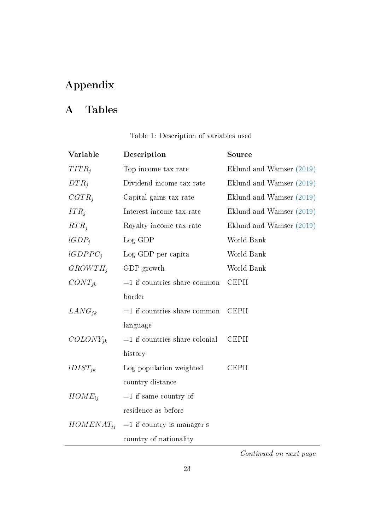## Appendix

## A Tables

| Table 1: Description of variables used |  |
|----------------------------------------|--|
|----------------------------------------|--|

<span id="page-23-0"></span>

| Variable       | Description                      | Source                   |
|----------------|----------------------------------|--------------------------|
| $TITR_i$       | Top income tax rate              | Eklund and Wamser (2019) |
| $DTR_i$        | Dividend income tax rate         | Eklund and Wamser (2019) |
| $CGTR_i$       | Capital gains tax rate           | Eklund and Wamser (2019) |
| $ITR_i$        | Interest income tax rate         | Eklund and Wamser (2019) |
| $RTR_i$        | Royalty income tax rate          | Eklund and Wamser (2019) |
| $lGDP_i$       | Log GDP                          | World Bank               |
| $lGDPPC_i$     | Log GDP per capita               | World Bank               |
| $GROWTH_i$     | GDP growth                       | World Bank               |
| $CONT_{ik}$    | $=1$ if countries share common   | <b>CEPII</b>             |
|                | border                           |                          |
| $LANG_{ik}$    | $=1$ if countries share common   | <b>CEPII</b>             |
|                | language                         |                          |
| $COLONY_{ik}$  | $=1$ if countries share colonial | <b>CEPII</b>             |
|                | history                          |                          |
| $lDIST_{ik}$   | Log population weighted          | <b>CEPII</b>             |
|                | country distance                 |                          |
| $HOME_{ii}$    | $=1$ if same country of          |                          |
|                | residence as before              |                          |
| $HOMENAT_{ii}$ | $=1$ if country is manager's     |                          |
|                | country of nationality           |                          |

Continued on next page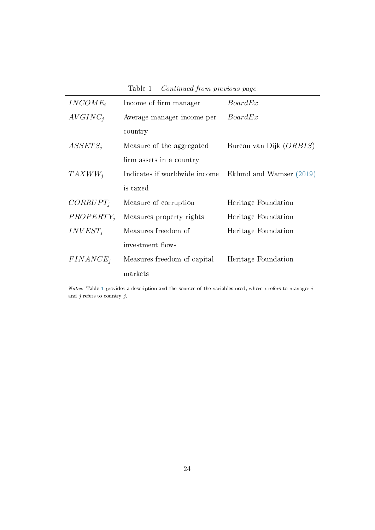| Table $1$ – <i>Continued from previous page</i> |  |  |  |  |  |  |
|-------------------------------------------------|--|--|--|--|--|--|
|-------------------------------------------------|--|--|--|--|--|--|

| $INCOMP_i$   | Income of firm manager        | BoardEx                  |
|--------------|-------------------------------|--------------------------|
| $AVGINC_i$   | Average manager income per    | BoardEx                  |
|              | country                       |                          |
| $ASSETS_i$   | Measure of the aggregated     | Bureau van Dijk (ORBIS)  |
|              | firm assets in a country      |                          |
| $TAXWW_i$    | Indicates if worldwide income | Eklund and Wamser (2019) |
|              | is taxed                      |                          |
| $CORRUPT_i$  | Measure of corruption         | Heritage Foundation      |
| $PROPERTY_i$ | Measures property rights      | Heritage Foundation      |
| $INVEST_i$   | Measures freedom of           | Heritage Foundation      |
|              | investment flows              |                          |
| $FINANCE_i$  | Measures freedom of capital   | Heritage Foundation      |
|              | markets                       |                          |

Notes: Table [1](#page-23-0) provides a description and the sources of the variables used, where  $i$  refers to manager  $i$ and  $j$  refers to country  $j.$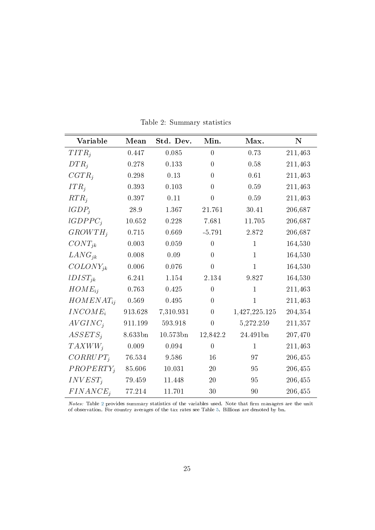<span id="page-25-0"></span>

| Variable       | Mean    | Std. Dev. | Min.             | Max.           | ${\bf N}$ |
|----------------|---------|-----------|------------------|----------------|-----------|
| $TITR_i$       | 0.447   | 0.085     | $\overline{0}$   | 0.73           | 211,463   |
| $DTR_i$        | 0.278   | 0.133     | $\boldsymbol{0}$ | 0.58           | 211,463   |
| $CGTR_i$       | 0.298   | 0.13      | $\overline{0}$   | 0.61           | 211,463   |
| $ITR_i$        | 0.393   | 0.103     | $\overline{0}$   | 0.59           | 211,463   |
| $RTR_i$        | 0.397   | 0.11      | $\overline{0}$   | 0.59           | 211,463   |
| $lGDP_i$       | 28.9    | 1.367     | 21.761           | 30.41          | 206,687   |
| $lGDPPC_i$     | 10.652  | 0.228     | 7.681            | 11.705         | 206,687   |
| $GROWTH_i$     | 0.715   | 0.669     | $-5.791$         | 2.872          | 206,687   |
| $CONT_{jk}$    | 0.003   | 0.059     | $\theta$         | $\mathbf{1}$   | 164,530   |
| $LANG_{jk}$    | 0.008   | 0.09      | $\overline{0}$   | $\mathbf{1}$   | 164,530   |
| $COLONY_{ik}$  | 0.006   | 0.076     | $\overline{0}$   | $\overline{1}$ | 164,530   |
| $lDIST_{jk}$   | 6.241   | 1.154     | 2.134            | 9.827          | 164,530   |
| $HOME_{ii}$    | 0.763   | 0.425     | $\overline{0}$   | $\mathbf{1}$   | 211,463   |
| $HOMENAT_{ii}$ | 0.569   | 0.495     | $\boldsymbol{0}$ | $\mathbf{1}$   | 211,463   |
| $INCOMP_i$     | 913.628 | 7,310.931 | $\overline{0}$   | 1,427,225.125  | 204,354   |
| $AVGINC_i$     | 911.199 | 593.918   | $\overline{0}$   | 5,272.259      | 211,357   |
| $ASSETS_i$     | 8.633bn | 10.573bn  | 12,842.2         | 24.491bn       | 207,470   |
| $TAXWW_i$      | 0.009   | 0.094     | $\overline{0}$   | $\mathbf{1}$   | 211,463   |
| $CORRUPT_i$    | 76.534  | 9.586     | 16               | 97             | 206,455   |
| $PROPERTY_i$   | 85.606  | 10.031    | 20               | 95             | 206,455   |
| $INVEST_i$     | 79.459  | 11.448    | 20               | 95             | 206,455   |
| $FINANCE_i$    | 77.214  | 11.701    | 30               | 90             | 206,455   |

Table 2: Summary statistics

Notes: Table [2](#page-25-0) provides summary statistics of the variables used. Note that firm managers are the unit of observation. For country averages of the tax rates see Table [5.](#page-28-0) Billions are denoted by bn.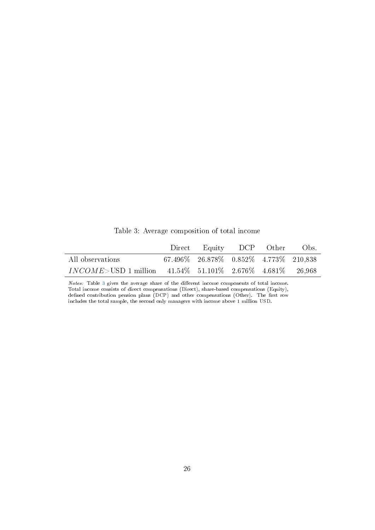<span id="page-26-0"></span>

|                                                                  | Direct Equity DCP Other                             |  | Obs. |
|------------------------------------------------------------------|-----------------------------------------------------|--|------|
| All observations                                                 | $67.496\%$ $26.878\%$ $0.852\%$ $4.773\%$ $210.838$ |  |      |
| $INCOME > USD$ 1 million 41.54\% 51.101\% 2.676\% 4.681\% 26.968 |                                                     |  |      |

Table 3: Average composition of total income

Notes: Table [3](#page-26-0) gives the average share of the different income components of total income. Total income consists of direct compensations (Direct), share-based compensations (Equity), defined contribution pension plans (DCP) and other compensations (Other). The first row includes the total sample, the second only managers with income above 1 million USD.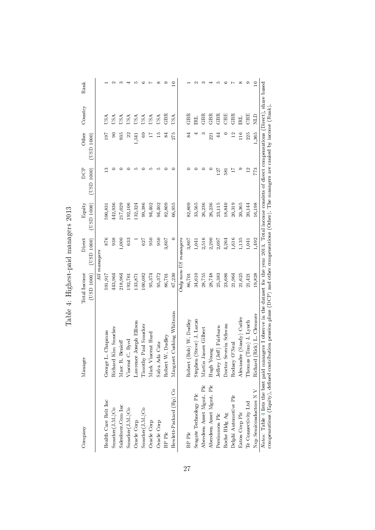<span id="page-27-0"></span>

| Company                  | Manager                                                                                                                                                                                                                                                                                                    | Total Income | Direct                 | Equity     | DCP             | Other          | Country     | Rank        |
|--------------------------|------------------------------------------------------------------------------------------------------------------------------------------------------------------------------------------------------------------------------------------------------------------------------------------------------------|--------------|------------------------|------------|-----------------|----------------|-------------|-------------|
|                          |                                                                                                                                                                                                                                                                                                            | (USD 1000)   | (USD 1000)             | (USD 1000) | (USD 1000)      | (USD 1000)     |             |             |
|                          |                                                                                                                                                                                                                                                                                                            |              | All managers           |            |                 |                |             |             |
| Health Care Reit Inc     | L. Chapman<br>George                                                                                                                                                                                                                                                                                       | 591,917      | 876                    | 590,831    | ≌               | 197            | JSA         |             |
| Smucker(J.M.)Co          | Richard Kim Smucker                                                                                                                                                                                                                                                                                        | 443,964      | 938                    | 442,936    |                 | 5              | USA         |             |
| Salesforce.Com Inc       | Marc R. Benioff                                                                                                                                                                                                                                                                                            | 218,964      | 1,000                  | 217,029    |                 | 935            | USA         |             |
| Smucker(J.M.)Co          | Vincent C. Byrd                                                                                                                                                                                                                                                                                            | 192,761      | 633                    | 192,106    |                 | 22             | JSA         |             |
| Oracle Corp              | Lawrence Joseph Ellison                                                                                                                                                                                                                                                                                    | 133,871      |                        | 132,324    | Ω٠              | 1,541          | USA         |             |
| Smucker(J.M.)Co          | Timothy Paul Smucker                                                                                                                                                                                                                                                                                       | 100,082      | 627                    | 99,386     |                 | $^{69}$        | USA         |             |
| Oracle Corp              | Mark Vincent Hurd                                                                                                                                                                                                                                                                                          | 95,374       | 950                    | 94,402     | ю               |                | USA         |             |
| Oracle Corp              | Safra Ada Catz                                                                                                                                                                                                                                                                                             | 95,372       | 950                    | 94,402     | ນດ              | 15             | USA         | ∞           |
| BP Plc                   | Robert W. Dudley                                                                                                                                                                                                                                                                                           | 86,701       | 3,807                  | 82,809     |                 | ಹ              | GBR         |             |
| Hewlett-Packard (Hp) Co  | et Cushing Whitman<br>Margar                                                                                                                                                                                                                                                                               | 67,230       | $\subset$              | 66,955     | ⊂               | 275            | USA         | ≘           |
|                          |                                                                                                                                                                                                                                                                                                            |              | $Only$ non-US managers |            |                 |                |             |             |
| BP Plc                   | (Bob) W. Dudley<br>Robert                                                                                                                                                                                                                                                                                  | 86,701       | 3,807                  | 82,809     |                 | 84             | GBR         |             |
| Seagate Technology Plc   | Stephen (Steve) J. Luczo                                                                                                                                                                                                                                                                                   | 34,610       | 1,041                  | 33,565     |                 |                | ERL         |             |
| Aberdeen Asset Mgmt. Plc | James Gilbert<br>Martin                                                                                                                                                                                                                                                                                    | 28,755       | 2,516                  | 26,236     |                 | m              | GBR         |             |
| Aberdeen Asset Mgmt. Plc | Hugh Young                                                                                                                                                                                                                                                                                                 | 28,748       | 2,290                  | 26,236     |                 | 221            | GBR         |             |
| Persimmon Plc            | Jeffrey (Jeff) Fairburn                                                                                                                                                                                                                                                                                    | 25,383       | 2,097                  | 23,115     | 127             | 44             | <b>GBR</b>  |             |
| Roche Hldg ${\rm Ag}$    | Severin Schwan<br>Doctor                                                                                                                                                                                                                                                                                   | 23,686       | 4,264                  | 18,840     | 581             | ⊂              | CHE         |             |
| Delphi Automotive Plc    | Rodney O'Neal                                                                                                                                                                                                                                                                                              | 21,964       | 1,616                  | 20,319     | $\overline{11}$ | $\overline{1}$ | GBR         |             |
| Eaton Corp Plc           | Alexander (Sandy) Cutler                                                                                                                                                                                                                                                                                   | 21,625       | 1,135                  | 20,365     | Ø               | 116            | E           | œ           |
| Te Connectivity Ltd      | Thomas (Tom) J. Lynch                                                                                                                                                                                                                                                                                      | 21,421       | 1,041                  | 20,144     | $\mathbf{C}$    | 225            | CHE         | σ.          |
| Nxp Semiconductors NV    | Richard (Rick) L. Clemmer                                                                                                                                                                                                                                                                                  | 19,828       | 1,492                  | 16,198     | 773             | 1,365          | <b>CLIN</b> | $\subseteq$ |
|                          | Notes: Table 4 lists the best paid managers I observe in the dataset for the year 2013. Total income consists of direct compensations (Direct), share based<br>compensations (Equity), defined contribution pension plans (DCP) and other compensations (Other). The managers are ranked by income (Rank). |              |                        |            |                 |                |             |             |

Table 4: Highest-paid managers 2013 Table 4: Highest-paid managers 2013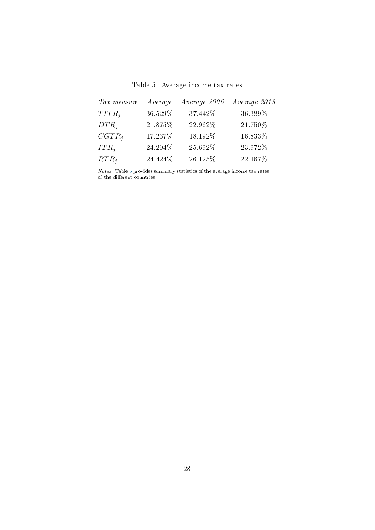Table 5: Average income tax rates

<span id="page-28-0"></span>

| Tax measure | Average  | Average 2006 | Average 2013 |
|-------------|----------|--------------|--------------|
| $TITR_i$    | 36.529%  | 37.442%      | 36.389%      |
| $DTR_i$     | 21.875%  | 22.962%      | 21.750%      |
| $CGTR_i$    | 17.237%  | 18.192%      | 16.833%      |
| $ITR_i$     | 24.294%  | 25.692%      | 23.972%      |
| $RTR_i$     | 24.424\% | 26.125%      | 22.167%      |

Notes: Table [5](#page-28-0) provides summary statistics of the average income tax rates of the different countries.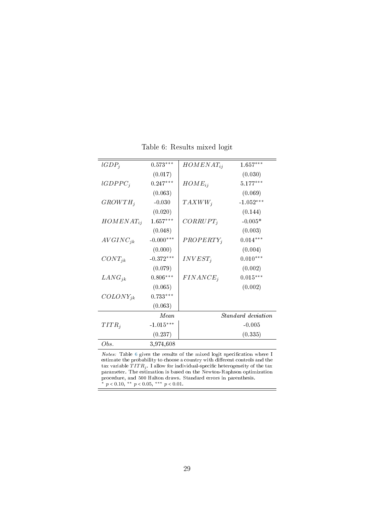|  |  | Table 6: Results mixed logit |  |  |
|--|--|------------------------------|--|--|
|--|--|------------------------------|--|--|

<span id="page-29-0"></span>

| (0.017)<br>(0.030)<br>$lGDPPC_i$<br>$0.247***$<br>$5.177***$<br>$HOME_{ij}$<br>(0.069)<br>(0.063)<br>$-1.052***$<br>$GROWTH_i$<br>$-0.030$<br>$TAXWW_i$<br>(0.020)<br>(0.144)<br>$1.657***$<br>$-0.005*$<br>$CORRUPT_i$<br>$HOMENAT_{ij}$<br>(0.048)<br>(0.003)<br>$-0.000***$<br>$0.014***$<br>$AVGINC_{jk}$<br>$PROPERTY_i$<br>(0.004)<br>(0.000)<br>$-0.372***$<br>$0.010***$<br>$INVEST_i$<br>$CONT_{jk}$<br>(0.079)<br>(0.002)<br>$0.806***$<br>$0.015***$<br>$FINANCE_i$<br>$LANG_{ik}$<br>(0.065)<br>(0.002)<br>$0.733***$<br>$COLONY_{ik}$<br>(0.063)<br>Standard deviation<br>Mean<br>$-1.015***$<br>$TITR_i$<br>$-0.005$<br>(0.237)<br>(0.335) | $lGDP_i$ | $0.573***$ | $HOMENAT_{ij}$ | $1.657***$ |
|----------------------------------------------------------------------------------------------------------------------------------------------------------------------------------------------------------------------------------------------------------------------------------------------------------------------------------------------------------------------------------------------------------------------------------------------------------------------------------------------------------------------------------------------------------------------------------------------------------------------------------------------------------|----------|------------|----------------|------------|
|                                                                                                                                                                                                                                                                                                                                                                                                                                                                                                                                                                                                                                                          |          |            |                |            |
|                                                                                                                                                                                                                                                                                                                                                                                                                                                                                                                                                                                                                                                          |          |            |                |            |
|                                                                                                                                                                                                                                                                                                                                                                                                                                                                                                                                                                                                                                                          |          |            |                |            |
|                                                                                                                                                                                                                                                                                                                                                                                                                                                                                                                                                                                                                                                          |          |            |                |            |
|                                                                                                                                                                                                                                                                                                                                                                                                                                                                                                                                                                                                                                                          |          |            |                |            |
|                                                                                                                                                                                                                                                                                                                                                                                                                                                                                                                                                                                                                                                          |          |            |                |            |
|                                                                                                                                                                                                                                                                                                                                                                                                                                                                                                                                                                                                                                                          |          |            |                |            |
|                                                                                                                                                                                                                                                                                                                                                                                                                                                                                                                                                                                                                                                          |          |            |                |            |
|                                                                                                                                                                                                                                                                                                                                                                                                                                                                                                                                                                                                                                                          |          |            |                |            |
|                                                                                                                                                                                                                                                                                                                                                                                                                                                                                                                                                                                                                                                          |          |            |                |            |
|                                                                                                                                                                                                                                                                                                                                                                                                                                                                                                                                                                                                                                                          |          |            |                |            |
|                                                                                                                                                                                                                                                                                                                                                                                                                                                                                                                                                                                                                                                          |          |            |                |            |
|                                                                                                                                                                                                                                                                                                                                                                                                                                                                                                                                                                                                                                                          |          |            |                |            |
|                                                                                                                                                                                                                                                                                                                                                                                                                                                                                                                                                                                                                                                          |          |            |                |            |
|                                                                                                                                                                                                                                                                                                                                                                                                                                                                                                                                                                                                                                                          |          |            |                |            |
|                                                                                                                                                                                                                                                                                                                                                                                                                                                                                                                                                                                                                                                          |          |            |                |            |
|                                                                                                                                                                                                                                                                                                                                                                                                                                                                                                                                                                                                                                                          |          |            |                |            |
|                                                                                                                                                                                                                                                                                                                                                                                                                                                                                                                                                                                                                                                          |          |            |                |            |
|                                                                                                                                                                                                                                                                                                                                                                                                                                                                                                                                                                                                                                                          | Obs.     | 3,974,608  |                |            |

 $Notes:$  Table [6](#page-29-0) gives the results of the mixed logit specification where I estimate the probability to choose a country with different controls and the tax variable  $TITR_{j}$  . I allow for individual-specific heterogeneity of the tax parameter. The estimation is based on the Newton-Raphson optimization procedure, and 500 Halton draws. Standard errors in parenthesis. \*  $p < 0.10,$  \*\*  $p < 0.05,$  \*\*\*  $p < 0.01$ .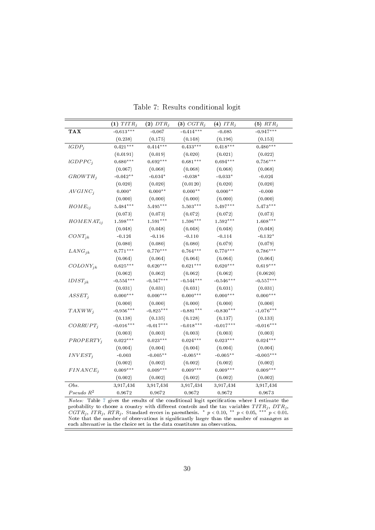<span id="page-30-0"></span>

|                | $(1)$ $TITR_j$ | $(2)$ $DTR_j$ | $(3) CGTR_j$ | (4) $ITR_j$ | $(5)$ $RTR_j$   |
|----------------|----------------|---------------|--------------|-------------|-----------------|
| <b>TAX</b>     | $-0.613***$    | $-0.067$      | $-0.414***$  | $-0.085$    | $-0.947***$     |
|                | (0.238)        | (0.175)       | (0.148)      | (0.196)     | (0.153)         |
| $lGDP_j$       | $0.421***$     | $0.414***$    | $0.433***$   | $0.418***$  | $0.480***$      |
|                | (0.0191)       | (0.019)       | (0.020)      | (0.021)     | (0.022)         |
| $lGDPPC_j$     | $0.680***$     | $0.692***$    | $0.681***$   | $0.694***$  | $0.756***$      |
|                | (0.067)        | (0.068)       | (0.068)      | (0.068)     | (0.068)         |
| $GROWTH_j$     | $-0.042**$     | $-0.034*$     | $-0.038*$    | $-0.033*$   | $\mbox{-}0.024$ |
|                | (0.020)        | (0.020)       | (0.0120)     | (0.020)     | (0.020)         |
| $AVGINC_j$     | $0.000*$       | $0.000**$     | $0.000**$    | $0.000**$   | $-0.000$        |
|                | (0.000)        | (0.000)       | (0.000)      | (0.000)     | (0.000)         |
| $HOME_{ij}$    | $5.484***$     | $5.495***$    | $5.503***$   | $5.497***$  | $5.473***$      |
|                | (0.073)        | (0.073)       | (0.072)      | (0.072)     | (0.073)         |
| $HOMENAT_{ij}$ | $1.598***$     | $1.591***$    | $1.596***$   | $1.592***$  | $1.608***$      |
|                | (0.048)        | (0.048)       | (0.048)      | (0.048)     | (0.048)         |
| $CONT_{jk}$    | $-0.124$       | $-0.116$      | $-0.110$     | $-0.114$    | $-0.132*$       |
|                | (0.080)        | (0.080)       | (0.080)      | (0.079)     | (0.079)         |
| $LANG_{jk}$    | $0.771***$     | $0.770***$    | $0.764***$   | $0.770***$  | $0.786***$      |
|                | (0.064)        | (0.064)       | (0.064)      | (0.064)     | (0.064)         |
| $COLONY_{jk}$  | $0.625***$     | $0.620***$    | $0.621***$   | $0.620***$  | $0.619***$      |
|                | (0.062)        | (0.062)       | (0.062)      | (0.062)     | (0.0620)        |
| $lDIST_{jk}$   | $-0.554***$    | $-0.547***$   | $-0.544***$  | $-0.546***$ | $-0.557***$     |
|                | (0.031)        | (0.031)       | (0.031)      | (0.031)     | (0.031)         |
| $ASSET_{j}$    | $0.000***$     | $0.000***$    | $0.000***$   | $0.000***$  | $0.000***$      |
|                | (0.000)        | (0.000)       | (0.000)      | (0.000)     | (0.000)         |
| $TAXWW_i$      | $-0.956***$    | $-0.825***$   | $-0.881***$  | $-0.830***$ | $-1.076***$     |
|                | (0.138)        | (0.135)       | (0.128)      | (0.137)     | (0.133)         |
| $CORRUPT_j$    | $-0.016***$    | $-0.017***$   | $-0.018***$  | $-0.017***$ | $-0.016***$     |
|                | (0.003)        | (0.003)       | (0.003)      | (0.003)     | (0.003)         |
| $PROPERTY_i$   | $0.022***$     | $0.023***$    | $0.024***$   | $0.023***$  | $0.024***$      |
|                | (0.004)        | (0.004)       | (0.004)      | (0.004)     | (0.004)         |
| $INVEST_i$     | $-0.003$       | $-0.005**$    | $-0.005**$   | $-0.005**$  | $-0.005***$     |
|                | (0.002)        | (0.002)       | (0.002)      | (0.002)     | (0.002)         |
| $FINANCE_i$    | $0.009***$     | $0.009***$    | $0.009***$   | $0.009***$  | $0.009***$      |
|                | (0.002)        | (0.002)       | (0.002)      | (0.002)     | (0.002)         |
| Obs.           | 3,917,434      | 3,917,434     | 3,917,434    | 3,917,434   | 3,917,434       |
| $Pseudo R^2$   | 0.9672         | 0.9672        | 0.9672       | 0.9672      | 0.9673          |

Table 7: Results conditional logit

Notes: Table [7](#page-30-0) gives the results of the conditional logit specification where I estimate the probability to choose a country with different controls and the tax variables  $TITR_j,\ DTR_j,$  $CGTR_j, \ ITR_j, \ RTR_j.$  Standard errors in parenthesis. \*  $p < 0.10,$  \*\*  $p < 0.05,$  \*\*\*  $p < 0.01.$ Note that the number of observations is signicantly larger than the number of managers as each alternative in the choice set in the data constitutes an observation. ÷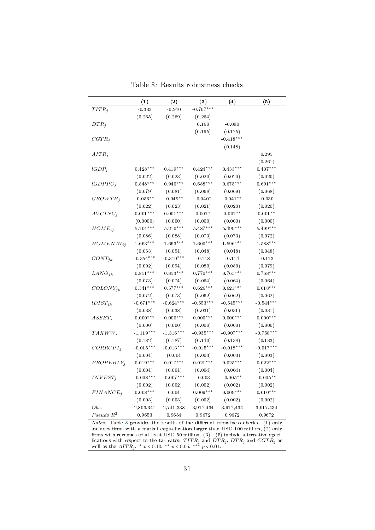<span id="page-31-0"></span>

|                       | (1)         | (2)         | $\left(3\right)$ | (4)         | (5)         |
|-----------------------|-------------|-------------|------------------|-------------|-------------|
| $TITR_j$              | $-0.333$    | $-0.240$    | $-0.707***$      |             |             |
|                       | (0.265)     | (0.269)     | (0.264)          |             |             |
| $DTR_j$               |             |             | 0.160            | $-0.090$    |             |
|                       |             |             | (0.195)          | (0.175)     |             |
| $CGTR_j$              |             |             |                  | $-0.418***$ |             |
|                       |             |             |                  | (0.148)     |             |
| $AITR_i$              |             |             |                  |             | 0.295       |
|                       |             |             |                  |             | (0.261)     |
| $lGDP_j$              | $0.428***$  | $0.419***$  | $0.424***$       | $0.433***$  | $0.407***$  |
|                       | (0.022)     | (0.023)     | (0.020)          | (0.020)     | (0.020)     |
| $lGDPPC_i$            | $0.848***$  | $0.940***$  | $0.688***$       | $0.675***$  | $0.691***$  |
|                       | (0.079)     | (0.081)     | (0.068)          | (0.069)     | (0.068)     |
| $GROWTH_i$            | $-0.056**$  | $-0.049**$  | $-0.040*$        | $-0.041**$  | $-0.030$    |
|                       | (0.022)     | (0.023)     | (0.021)          | (0.020)     | (0.020)     |
| $AVGINC_j$            | $0.001***$  | $0.001***$  | $0.001*$         | $0.001**$   | $0.001**$   |
|                       | (0.0000)    | (0.000)     | (0.000)          | (0.000)     | (0.000)     |
| $HOME_{ij}$           | $5.104***$  | $5.210***$  | $5.487***$       | $5.499***$  | $5.499***$  |
|                       | (0.086)     | (0.088)     | (0.073)          | (0.073)     | (0.072)     |
| $HOMENAT_{ij}$        | $1.663***$  | $1.663***$  | $1.600***$       | $1.596***$  | $1.588***$  |
|                       | (0.053)     | (0.054)     | (0.048)          | (0.048)     | (0.048)     |
| $CONT_{jk}$           | $-0.354***$ | $-0.310***$ | $-0.118$         | $-0.114$    | $-0.113$    |
|                       | (0.092)     | (0.094)     | (0.080)          | (0.080)     | (0.079)     |
| $LANG_{jk}$           | $0.851***$  | $0.853***$  | $0.770***$       | $0.765***$  | $0.768***$  |
|                       | (0.073)     | (0.074)     | (0.064)          | (0.064)     | (0.064)     |
| $COLONY_{jk}$         | $0.541***$  | $0.577***$  | $0.626***$       | $0.621***$  | $0.618***$  |
|                       | (0.072)     | (0.073)     | (0.062)          | (0.062)     | (0.062)     |
| $lDIST_{jk}$          | $-0.671***$ | $-0.624***$ | $-0.553***$      | $-0.545***$ | $-0.544***$ |
|                       | (0.038)     | (0.038)     | (0.031)          | (0.031)     | (0.031)     |
| $ASSET_j$             | $0.000***$  | $0.000***$  | $0.000***$       | $0.000***$  | $0.000***$  |
|                       | (0.000)     | (0.000)     | (0.000)          | (0.000)     | (0.000)     |
| $TAXWW_i$             | $-1.119***$ | $-1.316***$ | $-0.935***$      | $-0.907***$ | $-0.758***$ |
|                       | (0.182)     | (0.187)     | (0.140)          | (0.138)     | (0.133)     |
| $CORRUPT_i$           | $-0.015***$ | $-0.013***$ | $-0.015***$      | $-0.018***$ | $-0.017***$ |
|                       | (0.004)     | (0.004)     | (0.003)          | (0.003)     | (0.003)     |
| $PROPERTY_i$          | $0.019***$  | $0.017***$  | $0.021***$       | $0.025***$  | $0.022***$  |
|                       | (0.004)     | (0.004)     | (0.004)          | (0.004)     | (0.004)     |
| $INVEST_j$            | $-0.008***$ | $-0.007***$ | $-0.003$         | $-0.005**$  | $-0.005**$  |
|                       | (0.002)     | (0.002)     | (0.002)          | (0.002)     | (0.002)     |
| $FINANCE_i$           | $0.008***$  | 0.004       | $0.009***$       | $0.009***$  | $0.010***$  |
|                       | (0.003)     | (0.003)     | (0.002)          | (0.002)     | (0.002)     |
| Obs.                  | 2,803,341   | 2,741,338   | 3,917,434        | 3,917,434   | 3,917,434   |
| Pseudo R <sup>2</sup> | 0.9653      | 0.9654      | 0.9672           | 0.9672      | 0.9672      |

Table 8: Results robustness checks

 $Notes: Table 8 provides the results of the different robustness checks. (1) only$  $Notes: Table 8 provides the results of the different robustness checks. (1) only$  $Notes: Table 8 provides the results of the different robustness checks. (1) only$ includes firms with a market capitalization larger than USD 100 million,  $(2)$  only firms with revenues of at least USD 50 million. (3) - (5) include alternative specifications with respect to the tax rates:  $TITR_{j}$  and  $DTR_{j},\,DTR_{j}$  and  $CGTR_{j}$  as well as the  $AITR_j$ . \*  $p < 0.10,$  \*\*  $p < 0.05,$  \*\*\*  $p < 0.01$ .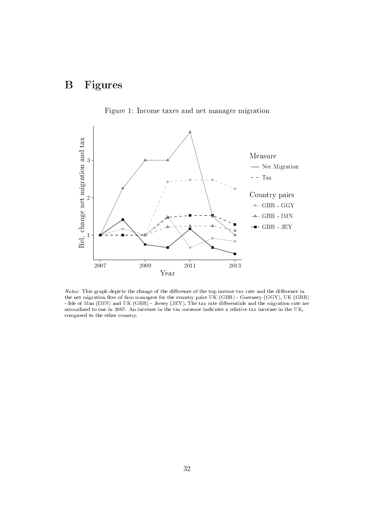## B Figures

<span id="page-32-0"></span>

Figure 1: Income taxes and net manager migration

Notes: This graph depicts the change of the difference of the top income tax rate and the difference in the net migration flow of firm managers for the country pairs UK (GBR) - Guernsey (GGY), UK (GBR) - Isle of Man (IMN) and UK (GBR) - Jersey (JEY). The tax rate differentials and the migration rate are normalized to one in 2007. An increase in the tax measure indicates a relative tax increase in the UK, compared to the other country.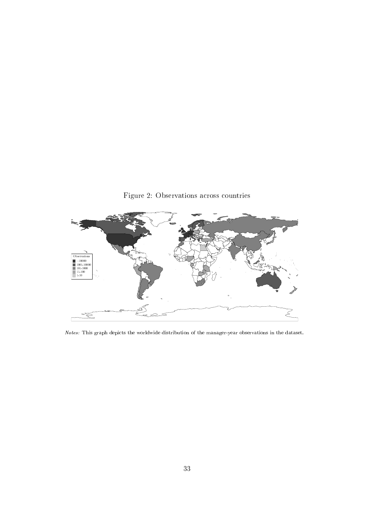<span id="page-33-0"></span>

Notes: This graph depicts the worldwide distribution of the manager-year observations in the dataset.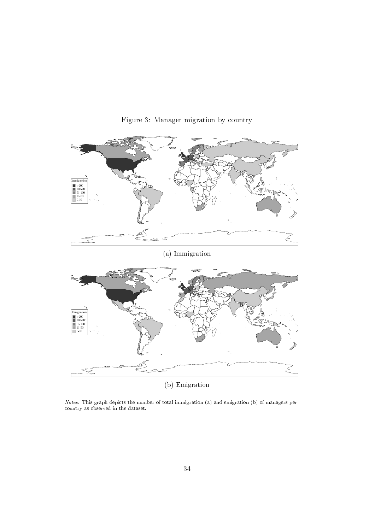<span id="page-34-0"></span>

Figure 3: Manager migration by country

Notes: This graph depicts the number of total immigration (a) and emigration (b) of managers per country as observed in the dataset.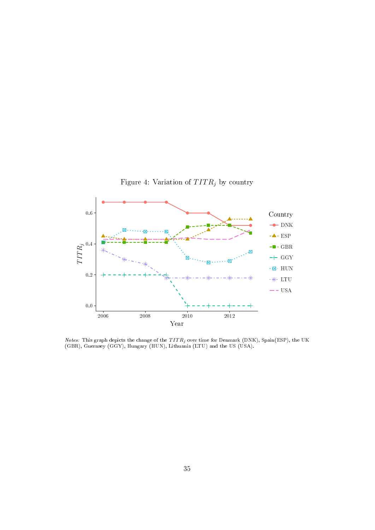<span id="page-35-0"></span>

*Notes:* This graph depicts the change of the  $TITR_j$  over time for Denmark (DNK), Spain(ESP), the UK (GBR), Guernsey (GGY), Hungary (HUN), Lithuania (LTU) and the US (USA).